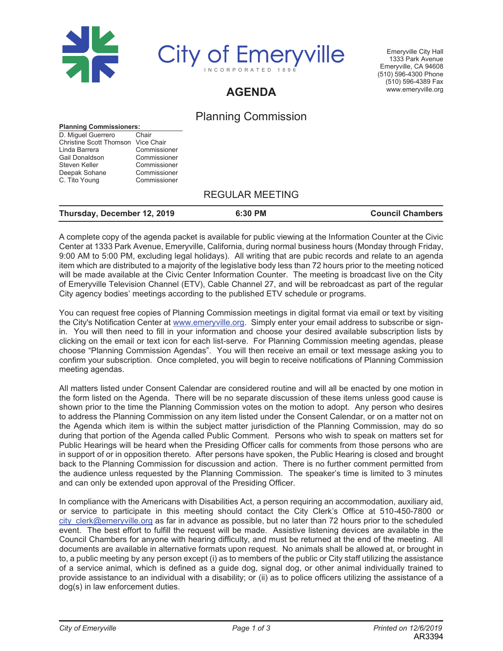



Emeryville City Hall 1333 Park Avenue Emeryville, CA 94608 (510) 596-4300 Phone (510) 596-4389 Fax www.emeryville.org

# **AGENDA**

## Planning Commission

#### **Planning Commissioners:**

| Chair                                        |
|----------------------------------------------|
| <b>Christine Scott Thomson</b><br>Vice Chair |
| Commissioner                                 |
| Commissioner                                 |
| Commissioner                                 |
| Commissioner                                 |
| Commissioner                                 |
|                                              |

### REGULAR MEETING

| Thursday, December 12, 2019 | 6:30 PM | <b>Council Chambers</b> |
|-----------------------------|---------|-------------------------|
|-----------------------------|---------|-------------------------|

A complete copy of the agenda packet is available for public viewing at the Information Counter at the Civic Center at 1333 Park Avenue, Emeryville, California, during normal business hours (Monday through Friday, 9:00 AM to 5:00 PM, excluding legal holidays). All writing that are pubic records and relate to an agenda item which are distributed to a majority of the legislative body less than 72 hours prior to the meeting noticed will be made available at the Civic Center Information Counter. The meeting is broadcast live on the City of Emeryville Television Channel (ETV), Cable Channel 27, and will be rebroadcast as part of the regular City agency bodies' meetings according to the published ETV schedule or programs.

You can request free copies of Planning Commission meetings in digital format via email or text by visiting the City's Notification Center at www.emeryville.org. Simply enter your email address to subscribe or signin. You will then need to fill in your information and choose your desired available subscription lists by clicking on the email or text icon for each list-serve. For Planning Commission meeting agendas, please choose "Planning Commission Agendas". You will then receive an email or text message asking you to confirm your subscription. Once completed, you will begin to receive notifications of Planning Commission meeting agendas.

All matters listed under Consent Calendar are considered routine and will all be enacted by one motion in the form listed on the Agenda. There will be no separate discussion of these items unless good cause is shown prior to the time the Planning Commission votes on the motion to adopt. Any person who desires to address the Planning Commission on any item listed under the Consent Calendar, or on a matter not on the Agenda which item is within the subject matter jurisdiction of the Planning Commission, may do so during that portion of the Agenda called Public Comment. Persons who wish to speak on matters set for Public Hearings will be heard when the Presiding Officer calls for comments from those persons who are in support of or in opposition thereto. After persons have spoken, the Public Hearing is closed and brought back to the Planning Commission for discussion and action. There is no further comment permitted from the audience unless requested by the Planning Commission. The speaker's time is limited to 3 minutes and can only be extended upon approval of the Presiding Officer.

In compliance with the Americans with Disabilities Act, a person requiring an accommodation, auxiliary aid, or service to participate in this meeting should contact the City Clerk's Office at 510-450-7800 or city clerk@emeryville.org as far in advance as possible, but no later than 72 hours prior to the scheduled event. The best effort to fulfill the request will be made. Assistive listening devices are available in the Council Chambers for anyone with hearing difficulty, and must be returned at the end of the meeting. All documents are available in alternative formats upon request. No animals shall be allowed at, or brought in to, a public meeting by any person except (i) as to members of the public or City staff utilizing the assistance of a service animal, which is defined as a guide dog, signal dog, or other animal individually trained to provide assistance to an individual with a disability; or (ii) as to police officers utilizing the assistance of a dog(s) in law enforcement duties.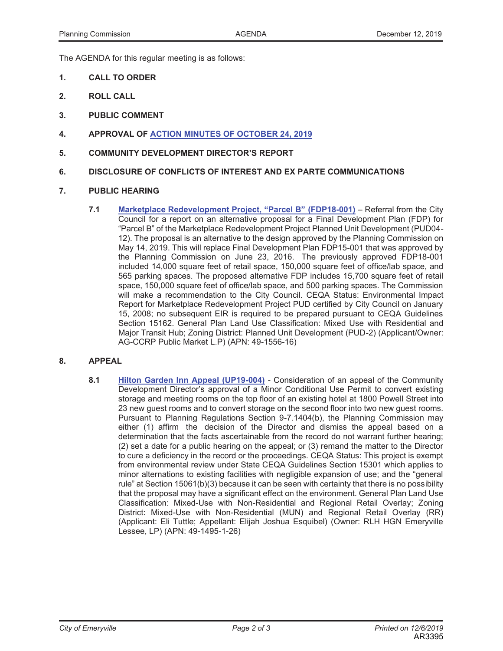The AGENDA for this regular meeting is as follows:

- **1. CALL TO ORDER**
- **2. ROLL CALL**
- **3. PUBLIC COMMENT**
- **4. APPROVAL OF ACTION MINUTES OF OCTOBER 24, 2019**
- **5. COMMUNITY DEVELOPMENT DIRECTOR'S REPORT**
- **6. DISCLOSURE OF CONFLICTS OF INTEREST AND EX PARTE COMMUNICATIONS**

#### **7. PUBLIC HEARING**

**7.1 Marketplace Redevelopment Project, "Parcel B" (FDP18-001)** – Referral from the City Council for a report on an alternative proposal for a Final Development Plan (FDP) for "Parcel B" of the Marketplace Redevelopment Project Planned Unit Development (PUD04- 12). The proposal is an alternative to the design approved by the Planning Commission on May 14, 2019. This will replace Final Development Plan FDP15-001 that was approved by the Planning Commission on June 23, 2016. The previously approved FDP18-001 included 14,000 square feet of retail space, 150,000 square feet of office/lab space, and 565 parking spaces. The proposed alternative FDP includes 15,700 square feet of retail space, 150,000 square feet of office/lab space, and 500 parking spaces. The Commission will make a recommendation to the City Council. CEQA Status: Environmental Impact Report for Marketplace Redevelopment Project PUD certified by City Council on January 15, 2008; no subsequent EIR is required to be prepared pursuant to CEQA Guidelines Section 15162. General Plan Land Use Classification: Mixed Use with Residential and Major Transit Hub; Zoning District: Planned Unit Development (PUD-2) (Applicant/Owner: AG-CCRP Public Market L.P) (APN: 49-1556-16)

#### **8. APPEAL**

**8.1 Hilton Garden Inn Appeal (UP19-004)** - Consideration of an appeal of the Community Development Director's approval of a Minor Conditional Use Permit to convert existing storage and meeting rooms on the top floor of an existing hotel at 1800 Powell Street into 23 new guest rooms and to convert storage on the second floor into two new guest rooms. Pursuant to Planning Regulations Section 9-7.1404(b), the Planning Commission may either (1) affirm the decision of the Director and dismiss the appeal based on a determination that the facts ascertainable from the record do not warrant further hearing; (2) set a date for a public hearing on the appeal; or (3) remand the matter to the Director to cure a deficiency in the record or the proceedings. CEQA Status: This project is exempt from environmental review under State CEQA Guidelines Section 15301 which applies to minor alternations to existing facilities with negligible expansion of use; and the "general rule" at Section 15061(b)(3) because it can be seen with certainty that there is no possibility that the proposal may have a significant effect on the environment. General Plan Land Use Classification: Mixed-Use with Non-Residential and Regional Retail Overlay; Zoning District: Mixed-Use with Non-Residential (MUN) and Regional Retail Overlay (RR) (Applicant: Eli Tuttle; Appellant: Elijah Joshua Esquibel) (Owner: RLH HGN Emeryville Lessee, LP) (APN: 49-1495-1-26)